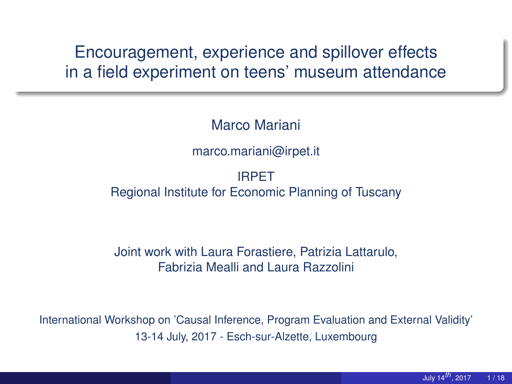Encouragement, experience and spillover effects in a field experiment on teens' museum attendance

Marco Mariani

marco.mariani@irpet.it

IRPET Regional Institute for Economic Planning of Tuscany

Joint work with Laura Forastiere, Patrizia Lattarulo, Fabrizia Mealli and Laura Razzolini

International Workshop on 'Causal Inference, Program Evaluation and External Validity' 13-14 July, 2017 - Esch-sur-Alzette, Luxembourg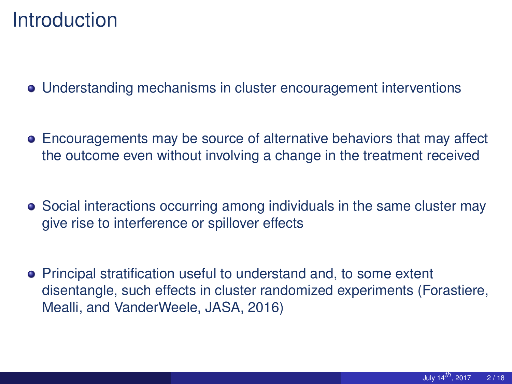### **Introduction**

Understanding mechanisms in cluster encouragement interventions

- Encouragements may be source of alternative behaviors that may affect the outcome even without involving a change in the treatment received
- Social interactions occurring among individuals in the same cluster may give rise to interference or spillover effects
- **•** Principal stratification useful to understand and, to some extent disentangle, such effects in cluster randomized experiments (Forastiere, Mealli, and VanderWeele, JASA, 2016)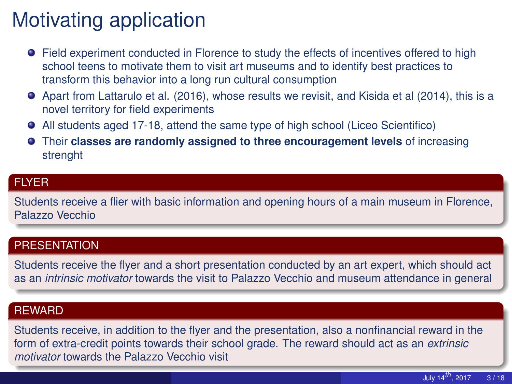# Motivating application

- **•** Field experiment conducted in Florence to study the effects of incentives offered to high school teens to motivate them to visit art museums and to identify best practices to transform this behavior into a long run cultural consumption
- Apart from Lattarulo et al. (2016), whose results we revisit, and Kisida et al (2014), this is a novel territory for field experiments
- All students aged 17-18, attend the same type of high school (Liceo Scientifico)
- Their **classes are randomly assigned to three encouragement levels** of increasing strenght

#### **FLYER**

Students receive a flier with basic information and opening hours of a main museum in Florence, Palazzo Vecchio

#### **PRESENTATION**

Students receive the flyer and a short presentation conducted by an art expert, which should act as an *intrinsic motivator* towards the visit to Palazzo Vecchio and museum attendance in general

#### **REWARD**

Students receive, in addition to the flyer and the presentation, also a nonfinancial reward in the form of extra-credit points towards their school grade. The reward should act as an *extrinsic motivator* towards the Palazzo Vecchio visit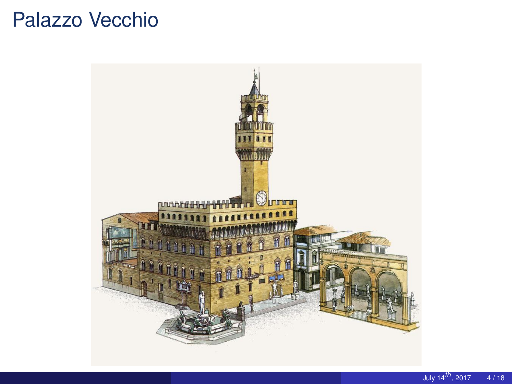## Palazzo Vecchio

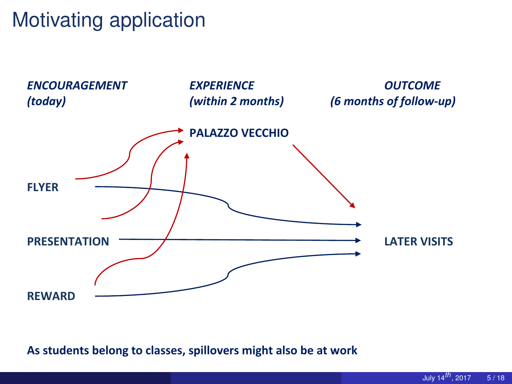## Motivating application



**As students belong to classes, spillovers might also be at work**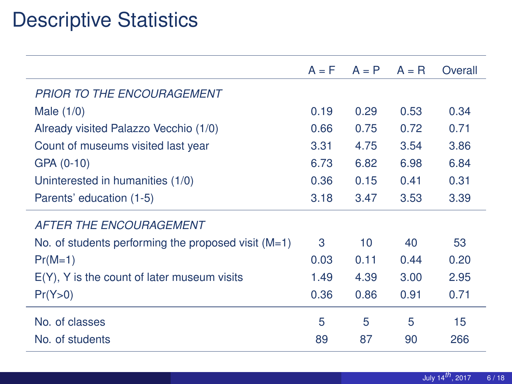## Descriptive Statistics

|                                                       | $A = F$ | $A = P$ | $A = R$ | Overall |
|-------------------------------------------------------|---------|---------|---------|---------|
| <b>PRIOR TO THE ENCOURAGEMENT</b>                     |         |         |         |         |
| Male $(1/0)$                                          | 0.19    | 0.29    | 0.53    | 0.34    |
| Already visited Palazzo Vecchio (1/0)                 | 0.66    | 0.75    | 0.72    | 0.71    |
| Count of museums visited last year                    | 3.31    | 4.75    | 3.54    | 3.86    |
| GPA (0-10)                                            | 6.73    | 6.82    | 6.98    | 6.84    |
| Uninterested in humanities (1/0)                      | 0.36    | 0.15    | 0.41    | 0.31    |
| Parents' education (1-5)                              | 3.18    | 3.47    | 3.53    | 3.39    |
| <b>AFTER THE ENCOURAGEMENT</b>                        |         |         |         |         |
| No. of students performing the proposed visit $(M=1)$ | 3       | 10      | 40      | 53      |
| $Pr(M=1)$                                             | 0.03    | 0.11    | 0.44    | 0.20    |
| $E(Y)$ , Y is the count of later museum visits        | 1.49    | 4.39    | 3.00    | 2.95    |
| Pr(Y>0)                                               | 0.36    | 0.86    | 0.91    | 0.71    |
| No. of classes                                        | 5       | 5       | 5       | 15      |
| No. of students                                       | 89      | 87      | 90      | 266     |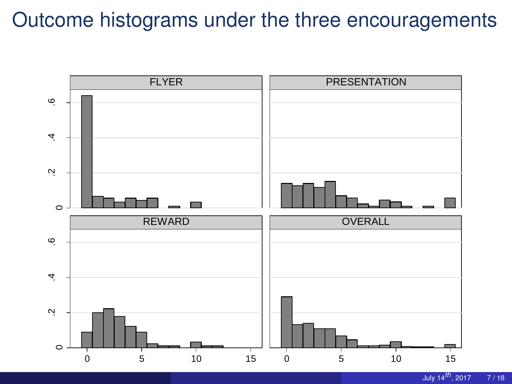### Outcome histograms under the three encouragements

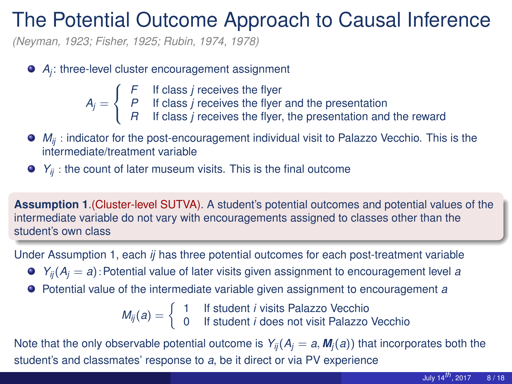### The Potential Outcome Approach to Causal Inference

*(Neyman, 1923; Fisher, 1925; Rubin, 1974, 1978)*

- *Aj* : three-level cluster encouragement assignment
	- ſ *F* If class *j* receives the flyer
	- $A_j =$ *P* If class *j* receives the flyer and the presentation
		- $\mathcal{L}$ *R* If class *j* receives the flyer, the presentation and the reward
- *M<sub>ii</sub>* : indicator for the post-encouragement individual visit to Palazzo Vecchio. This is the intermediate/treatment variable
- $\bullet$   $Y_{ij}$  : the count of later museum visits. This is the final outcome

**Assumption 1**.(Cluster-level SUTVA). A student's potential outcomes and potential values of the intermediate variable do not vary with encouragements assigned to classes other than the student's own class

Under Assumption 1, each *ij* has three potential outcomes for each post-treatment variable

- $\bullet$   $Y_{ii}(A_i = a)$ : Potential value of later visits given assignment to encouragement level *a*
- Potential value of the intermediate variable given assignment to encouragement *a*

 $M_{ij}(a) = \begin{cases} 1 & \text{If student } i \text{ visits Palazzo Vecchio} \\ 0 & \text{If student } i \text{ does not visit Palazar.} \end{cases}$ 0 If student *i* does not visit Palazzo Vecchio

Note that the only observable potential outcome is  $Y_{ii}(A_i = a, M_i(a))$  that incorporates both the student's and classmates' response to *a*, be it direct or via PV experience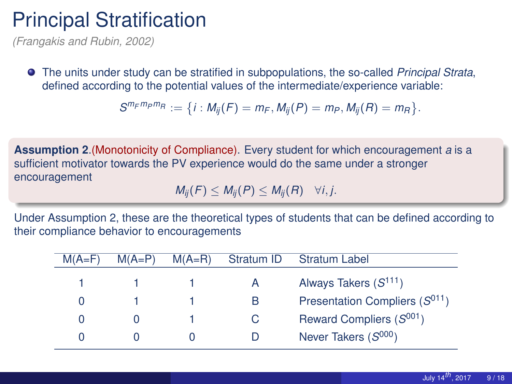### Principal Stratification

*(Frangakis and Rubin, 2002)*

The units under study can be stratified in subpopulations, the so-called *Principal Strata*, defined according to the potential values of the intermediate/experience variable:

$$
S^{m_F m_P m_R} := \{i : M_{ij}(F) = m_F, M_{ij}(P) = m_P, M_{ij}(R) = m_R\}.
$$

**Assumption 2**.(Monotonicity of Compliance). Every student for which encouragement *a* is a sufficient motivator towards the PV experience would do the same under a stronger encouragement

 $M_{ii}(F) \leq M_{ii}(P) \leq M_{ii}(R) \quad \forall i, j.$ 

Under Assumption 2, these are the theoretical types of students that can be defined according to their compliance behavior to encouragements

| $M(A=F)$     | $M(A=P)$ | $M(A=R)$ | Stratum ID | <b>Stratum Label</b>               |
|--------------|----------|----------|------------|------------------------------------|
|              |          |          |            | Always Takers $(S^{111})$          |
| $\cup$       |          |          | в          | Presentation Compliers $(S^{011})$ |
| $\mathbf{O}$ |          |          | C          | Reward Compliers $(S^{001})$       |
|              |          |          |            | Never Takers $(S^{000})$           |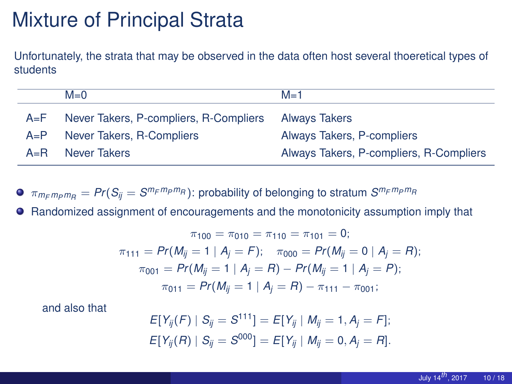## Mixture of Principal Strata

Unfortunately, the strata that may be observed in the data often host several thoeretical types of students

|         | $M=0$                                  | $M=1$                                   |
|---------|----------------------------------------|-----------------------------------------|
| $A=F$   | Never Takers, P-compliers, R-Compliers | <b>Always Takers</b>                    |
| $A = P$ | Never Takers, R-Compliers              | Always Takers, P-compliers              |
| $A = R$ | Never Takers                           | Always Takers, P-compliers, R-Compliers |

 $\pi_{m_Fm_Pm_R}=Pr(S_{ij}=S^{m_Fm_Pm_R})$ : probability of belonging to stratum  $S^{m_Fm_Pm_R}$ 

Randomized assignment of encouragements and the monotonicity assumption imply that  $\bullet$ 

$$
\pi_{100} = \pi_{010} = \pi_{110} = \pi_{101} = 0;
$$
\n
$$
\pi_{111} = Pr(M_{ij} = 1 | A_j = F); \quad \pi_{000} = Pr(M_{ij} = 0 | A_j = R);
$$
\n
$$
\pi_{001} = Pr(M_{ij} = 1 | A_j = R) - Pr(M_{ij} = 1 | A_j = P);
$$
\n
$$
\pi_{011} = Pr(M_{ij} = 1 | A_j = R) - \pi_{111} - \pi_{001};
$$

and also that

$$
E[Y_{ij}(F) | S_{ij} = S^{111}] = E[Y_{ij} | M_{ij} = 1, A_j = F];
$$
  

$$
E[Y_{ij}(R) | S_{ij} = S^{000}] = E[Y_{ij} | M_{ij} = 0, A_j = R].
$$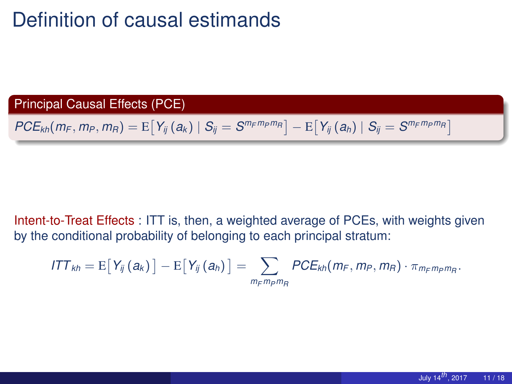## Definition of causal estimands

Principal Causal Effects (PCE)

 $PCE_{kh}(m_F, m_P, m_R) = \mathrm{E}\big[\,Y_{ij}\left(a_k\right)\mid S_{ij} = S^{m_Fm_Pm_R}\big] - \mathrm{E}\big[\,Y_{ij}\left(a_h\right)\mid S_{ij} = S^{m_Fm_Pm_R}\big]$ 

Intent-to-Treat Effects : ITT is, then, a weighted average of PCEs, with weights given by the conditional probability of belonging to each principal stratum:

$$
ITT_{kh} = E[Y_{ij}(a_k)] - E[Y_{ij}(a_h)] = \sum_{m_F m_P m_R} PCE_{kh}(m_F, m_P, m_R) \cdot \pi_{m_F m_P m_R}.
$$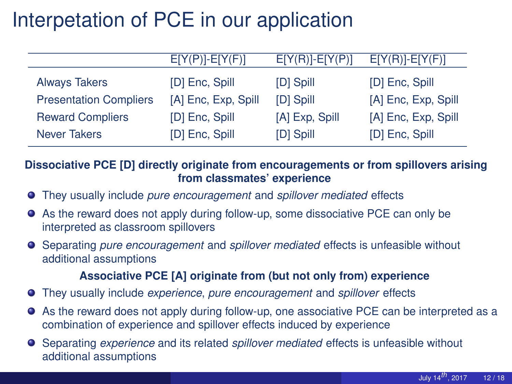## Interpetation of PCE in our application

|                               | $E[Y(P)]$ - $E[Y(F)]$ | $E[Y(R)]$ - $E[Y(P)]$ | $E[Y(R)]$ - $E[Y(F)]$ |
|-------------------------------|-----------------------|-----------------------|-----------------------|
| <b>Always Takers</b>          | [D] Enc, Spill        | [D] Spill             | [D] Enc, Spill        |
| <b>Presentation Compliers</b> | [A] Enc, Exp, Spill   | [D] Spill             | [A] Enc, Exp, Spill   |
| <b>Reward Compliers</b>       | [D] Enc. Spill        | [A] Exp, Spill        | [A] Enc, Exp, Spill   |
| <b>Never Takers</b>           | [D] Enc, Spill        | [D] Spill             | [D] Enc, Spill        |

**Dissociative PCE [D] directly originate from encouragements or from spillovers arising from classmates' experience**

- They usually include *pure encouragement* and *spillover mediated* effects
- As the reward does not apply during follow-up, some dissociative PCE can only be interpreted as classroom spillovers
- Separating *pure encouragement* and *spillover mediated* effects is unfeasible without additional assumptions

#### **Associative PCE [A] originate from (but not only from) experience**

- They usually include *experience*, *pure encouragement* and *spillover* effects
- As the reward does not apply during follow-up, one associative PCE can be interpreted as a combination of experience and spillover effects induced by experience
- Separating *experience* and its related *spillover mediated* effects is unfeasible without additional assumptions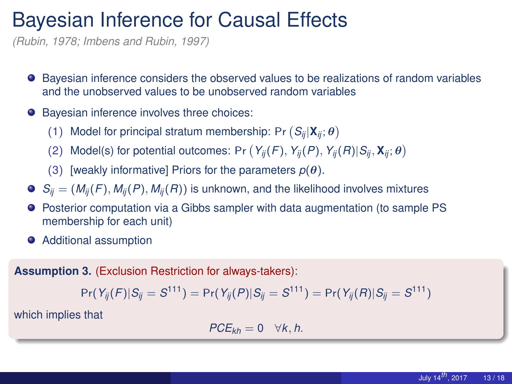### Bayesian Inference for Causal Effects

*(Rubin, 1978; Imbens and Rubin, 1997)*

- $\bullet$  Bayesian inference considers the observed values to be realizations of random variables and the unobserved values to be unobserved random variables
- Bayesian inference involves three choices:
	- (1) Model for principal stratum membership: Pr  $(S_{ij}|\mathbf{X}_{ij}; \boldsymbol{\theta})$
	- (2) Model(s) for potential outcomes: Pr  $(Y_{ij}(F), Y_{ij}(P), Y_{ij}(R)|S_{ij}, \mathbf{X}_{ij}; \boldsymbol{\theta})$
	- (3) [weakly informative] Priors for the parameters  $p(\theta)$ .
- $S_{ii} = (M_{ii}(F), M_{ii}(P), M_{ii}(R))$  is unknown, and the likelihood involves mixtures
- Posterior computation via a Gibbs sampler with data augmentation (to sample PS membership for each unit)
- **•** Additional assumption

**Assumption 3.** (Exclusion Restriction for always-takers):

$$
Pr(Y_{ij}(F)|S_{ij}=S^{111})=Pr(Y_{ij}(P)|S_{ij}=S^{111})=Pr(Y_{ij}(R)|S_{ij}=S^{111})
$$

which implies that

$$
PCE_{kh}=0 \quad \forall k,h.
$$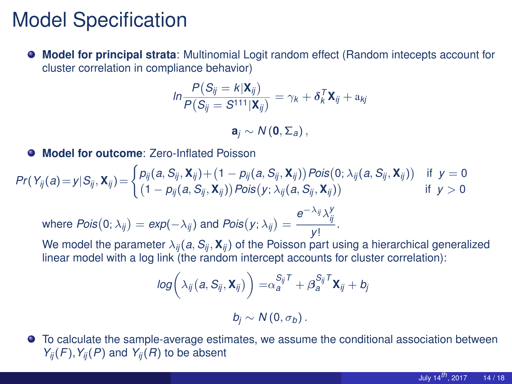## Model Specification

**Model for principal strata**: Multinomial Logit random effect (Random intecepts account for 0 cluster correlation in compliance behavior)

$$
\ln \frac{P(S_{ij} = k|\mathbf{X}_{ij})}{P(S_{ij} = S^{111}|\mathbf{X}_{ij})} = \gamma_k + \delta_k^T \mathbf{X}_{ij} + \mathbf{a}_{kj}
$$

 $\mathbf{a}_i \sim N(\mathbf{0}, \Sigma_a)$ ,

**Model for outcome**: Zero-Inflated Poisson

$$
Pr(Y_{ij}(a) = y | S_{ij}, \mathbf{X}_{ij}) = \begin{cases} p_{ij}(a, S_{ij}, \mathbf{X}_{ij}) + (1 - p_{ij}(a, S_{ij}, \mathbf{X}_{ij})) Pois(0; \lambda_{ij}(a, S_{ij}, \mathbf{X}_{ij})) & \text{if } y = 0\\ (1 - p_{ij}(a, S_{ij}, \mathbf{X}_{ij})) Pois(y; \lambda_{ij}(a, S_{ij}, \mathbf{X}_{ij})) & \text{if } y > 0 \end{cases}
$$

 ${\sf where}~Pois(0;\lambda_{ij})={\sf exp}(-\lambda_{ij})~{\sf and}~Pois(y;\lambda_{ij})=\frac{{\sf e}^{-\lambda_{ij}}\lambda_{ij}^{\sf v}}{\omega_{ij}}$  $\frac{y}{y}$ .

We model the parameter  $\lambda_{ij}(a, S_{ij}, \mathbf{X}_{ij})$  of the Poisson part using a hierarchical generalized linear model with a log link (the random intercept accounts for cluster correlation):

$$
log\bigg(\lambda_{ij}(a,S_{ij},\mathbf{X}_{ij})\bigg) = \alpha_{a}^{S_{ij}T} + \beta_{a}^{S_{ij}T}\mathbf{X}_{ij} + b_{j}
$$

$$
b_j \sim N(0, \sigma_b).
$$

 $\bullet$ To calculate the sample-average estimates, we assume the conditional association between  $Y_{ii}(F)$ ,  $Y_{ii}(P)$  and  $Y_{ii}(R)$  to be absent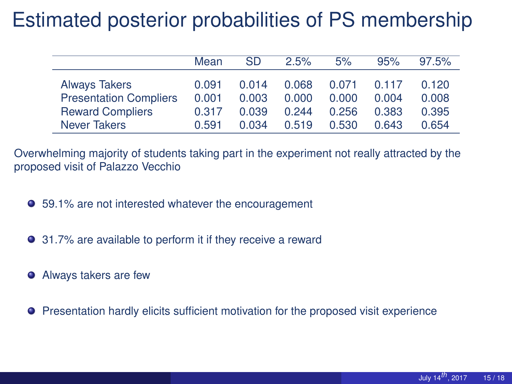## Estimated posterior probabilities of PS membership

|                                                          | Mean           | SD             | 2.5%           | 5%             | 95%            | 97.5%          |
|----------------------------------------------------------|----------------|----------------|----------------|----------------|----------------|----------------|
| <b>Always Takers</b>                                     | 0.091          | 0.014          | 0.068          | 0.071          | 0.117          | 0.120          |
| <b>Presentation Compliers</b><br><b>Reward Compliers</b> | 0.001<br>0.317 | 0.003<br>0.039 | 0.000<br>0.244 | 0.000<br>0.256 | 0.004<br>0.383 | 0.008<br>0.395 |
| Never Takers                                             | 0.591          | 0.034          | 0.519          | 0.530          | 0.643          | 0.654          |

Overwhelming majority of students taking part in the experiment not really attracted by the proposed visit of Palazzo Vecchio

- 59.1% are not interested whatever the encouragement
- 31.7% are available to perform it if they receive a reward
- Always takers are few
- Presentation hardly elicits sufficient motivation for the proposed visit experience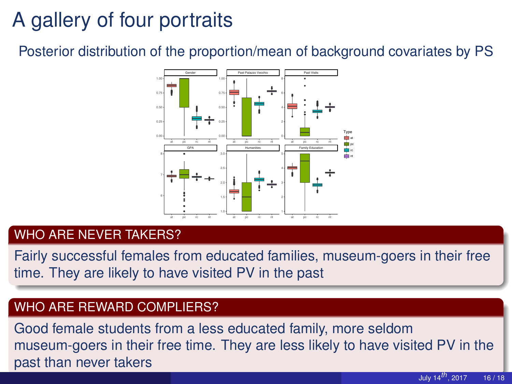## A gallery of four portraits

Posterior distribution of the proportion/mean of background covariates by PS



#### WHO ARE NEVER TAKERS?

Fairly successful females from educated families, museum-goers in their free time. They are likely to have visited PV in the past

#### WHO ARE REWARD COMPLIERS?

Good female students from a less educated family, more seldom museum-goers in their free time. They are less likely to have visited PV in the past than never takers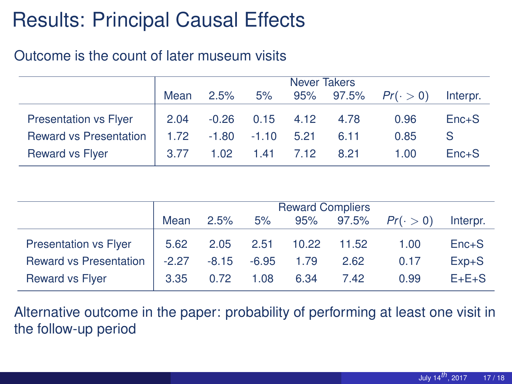## Results: Principal Causal Effects

#### Outcome is the count of later museum visits

|                               | Never Takers |                         |                   |      |      |                           |          |
|-------------------------------|--------------|-------------------------|-------------------|------|------|---------------------------|----------|
|                               | Mean         | 2.5%                    | 5%                |      |      | 95% 97.5% $Pr(\cdot > 0)$ | Interpr. |
| <b>Presentation vs Flyer</b>  | 2.04         |                         | $-0.26$ 0.15 4.12 |      | 4.78 | 0.96                      | $Enc+S$  |
| <b>Reward vs Presentation</b> |              | $1.72 -1.80 -1.10$ 5.21 |                   |      | 6.11 | 0.85                      | S        |
| <b>Reward vs Flyer</b>        | 3.77         | 1.02 <sub>1</sub>       | 1.41              | 7.12 | 8.21 | 1.00                      | $Enc+S$  |

|                               | <b>Reward Compliers</b> |         |         |       |           |                 |           |
|-------------------------------|-------------------------|---------|---------|-------|-----------|-----------------|-----------|
|                               | Mean                    | 2.5%    | 5%      |       | 95% 97.5% | $Pr(\cdot > 0)$ | Interpr.  |
| <b>Presentation vs Flyer</b>  | 5.62                    | 2.05    | 2.51    | 10.22 | 11.52     | 1.00            | $Enc+S$   |
| <b>Reward vs Presentation</b> | $-2.27$                 | $-8.15$ | $-6.95$ | 1.79  | 2.62      | 0.17            | $Exp + S$ |
| <b>Reward vs Flyer</b>        | 3.35                    | 0.72    | 1.08    | 6.34  | 7.42      | 0.99            | $E+E+S$   |

Alternative outcome in the paper: probability of performing at least one visit in the follow-up period